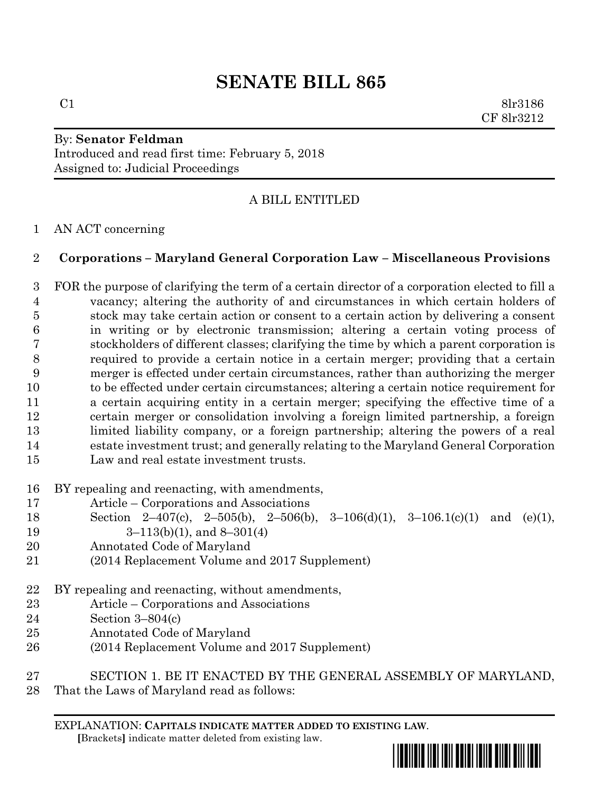# **SENATE BILL 865**

 $C1$  8lr3186 CF 8lr3212

## By: **Senator Feldman** Introduced and read first time: February 5, 2018 Assigned to: Judicial Proceedings

## A BILL ENTITLED

## AN ACT concerning

## **Corporations – Maryland General Corporation Law – Miscellaneous Provisions**

 FOR the purpose of clarifying the term of a certain director of a corporation elected to fill a vacancy; altering the authority of and circumstances in which certain holders of stock may take certain action or consent to a certain action by delivering a consent in writing or by electronic transmission; altering a certain voting process of stockholders of different classes; clarifying the time by which a parent corporation is required to provide a certain notice in a certain merger; providing that a certain merger is effected under certain circumstances, rather than authorizing the merger to be effected under certain circumstances; altering a certain notice requirement for a certain acquiring entity in a certain merger; specifying the effective time of a certain merger or consolidation involving a foreign limited partnership, a foreign limited liability company, or a foreign partnership; altering the powers of a real estate investment trust; and generally relating to the Maryland General Corporation Law and real estate investment trusts.

- BY repealing and reenacting, with amendments,
- Article Corporations and Associations
- Section 2–407(c), 2–505(b), 2–506(b), 3–106(d)(1), 3–106.1(c)(1) and (e)(1),
- 19  $3-113(b)(1)$ , and  $8-301(4)$
- Annotated Code of Maryland
- (2014 Replacement Volume and 2017 Supplement)
- BY repealing and reenacting, without amendments,
- Article Corporations and Associations
- Section 3–804(c)
- Annotated Code of Maryland
- (2014 Replacement Volume and 2017 Supplement)
- SECTION 1. BE IT ENACTED BY THE GENERAL ASSEMBLY OF MARYLAND,
- That the Laws of Maryland read as follows:

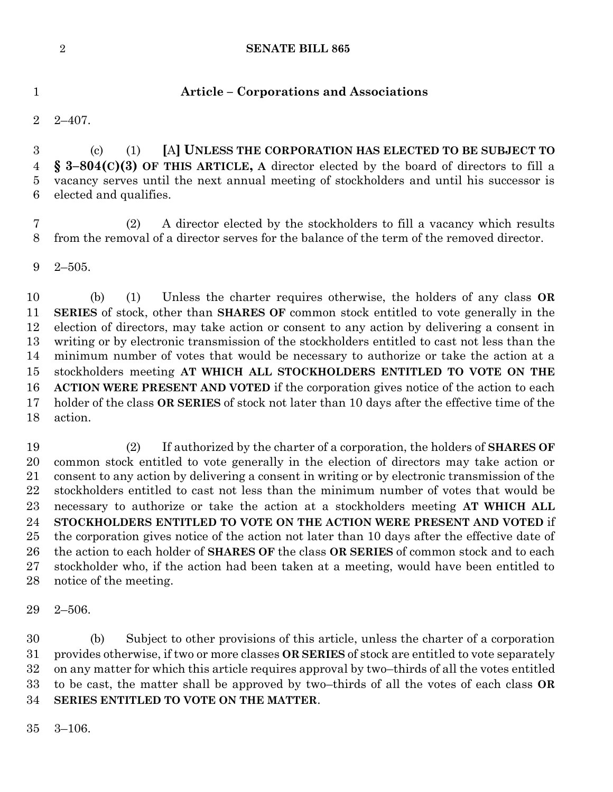### **SENATE BILL 865**

**Article – Corporations and Associations**

2–407.

 (c) (1) **[**A**] UNLESS THE CORPORATION HAS ELECTED TO BE SUBJECT TO § 3–804(C)(3) OF THIS ARTICLE, A** director elected by the board of directors to fill a vacancy serves until the next annual meeting of stockholders and until his successor is elected and qualifies.

 (2) A director elected by the stockholders to fill a vacancy which results from the removal of a director serves for the balance of the term of the removed director.

2–505.

 (b) (1) Unless the charter requires otherwise, the holders of any class **OR SERIES** of stock, other than **SHARES OF** common stock entitled to vote generally in the election of directors, may take action or consent to any action by delivering a consent in writing or by electronic transmission of the stockholders entitled to cast not less than the minimum number of votes that would be necessary to authorize or take the action at a stockholders meeting **AT WHICH ALL STOCKHOLDERS ENTITLED TO VOTE ON THE ACTION WERE PRESENT AND VOTED** if the corporation gives notice of the action to each holder of the class **OR SERIES** of stock not later than 10 days after the effective time of the action.

 (2) If authorized by the charter of a corporation, the holders of **SHARES OF**  common stock entitled to vote generally in the election of directors may take action or consent to any action by delivering a consent in writing or by electronic transmission of the stockholders entitled to cast not less than the minimum number of votes that would be necessary to authorize or take the action at a stockholders meeting **AT WHICH ALL STOCKHOLDERS ENTITLED TO VOTE ON THE ACTION WERE PRESENT AND VOTED** if the corporation gives notice of the action not later than 10 days after the effective date of the action to each holder of **SHARES OF** the class **OR SERIES** of common stock and to each stockholder who, if the action had been taken at a meeting, would have been entitled to notice of the meeting.

2–506.

 (b) Subject to other provisions of this article, unless the charter of a corporation provides otherwise, if two or more classes **OR SERIES** of stock are entitled to vote separately on any matter for which this article requires approval by two–thirds of all the votes entitled to be cast, the matter shall be approved by two–thirds of all the votes of each class **OR SERIES ENTITLED TO VOTE ON THE MATTER**.

3–106.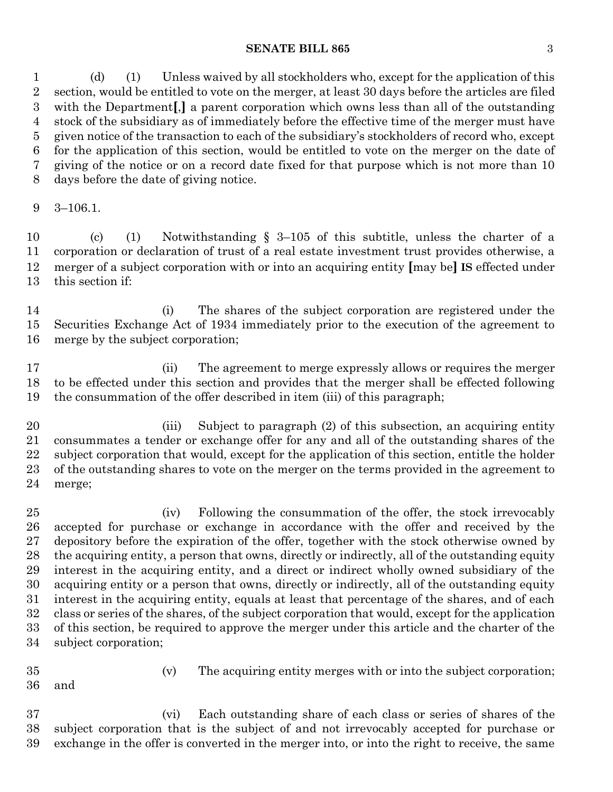### **SENATE BILL 865** 3

 (d) (1) Unless waived by all stockholders who, except for the application of this section, would be entitled to vote on the merger, at least 30 days before the articles are filed with the Department**[**,**]** a parent corporation which owns less than all of the outstanding stock of the subsidiary as of immediately before the effective time of the merger must have given notice of the transaction to each of the subsidiary's stockholders of record who, except for the application of this section, would be entitled to vote on the merger on the date of giving of the notice or on a record date fixed for that purpose which is not more than 10 days before the date of giving notice.

3–106.1.

 (c) (1) Notwithstanding § 3–105 of this subtitle, unless the charter of a corporation or declaration of trust of a real estate investment trust provides otherwise, a merger of a subject corporation with or into an acquiring entity **[**may be**] IS** effected under this section if:

 (i) The shares of the subject corporation are registered under the Securities Exchange Act of 1934 immediately prior to the execution of the agreement to merge by the subject corporation;

 (ii) The agreement to merge expressly allows or requires the merger to be effected under this section and provides that the merger shall be effected following the consummation of the offer described in item (iii) of this paragraph;

 (iii) Subject to paragraph (2) of this subsection, an acquiring entity consummates a tender or exchange offer for any and all of the outstanding shares of the subject corporation that would, except for the application of this section, entitle the holder of the outstanding shares to vote on the merger on the terms provided in the agreement to merge;

 (iv) Following the consummation of the offer, the stock irrevocably accepted for purchase or exchange in accordance with the offer and received by the depository before the expiration of the offer, together with the stock otherwise owned by the acquiring entity, a person that owns, directly or indirectly, all of the outstanding equity interest in the acquiring entity, and a direct or indirect wholly owned subsidiary of the acquiring entity or a person that owns, directly or indirectly, all of the outstanding equity interest in the acquiring entity, equals at least that percentage of the shares, and of each class or series of the shares, of the subject corporation that would, except for the application of this section, be required to approve the merger under this article and the charter of the subject corporation;

(v) The acquiring entity merges with or into the subject corporation;

and

 (vi) Each outstanding share of each class or series of shares of the subject corporation that is the subject of and not irrevocably accepted for purchase or exchange in the offer is converted in the merger into, or into the right to receive, the same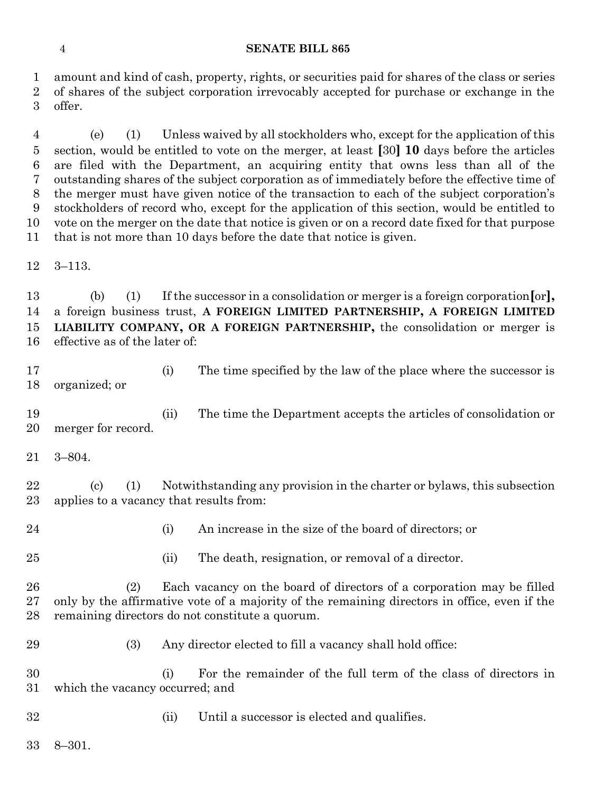#### **SENATE BILL 865**

 amount and kind of cash, property, rights, or securities paid for shares of the class or series of shares of the subject corporation irrevocably accepted for purchase or exchange in the offer.

 (e) (1) Unless waived by all stockholders who, except for the application of this section, would be entitled to vote on the merger, at least **[**30**] 10** days before the articles are filed with the Department, an acquiring entity that owns less than all of the outstanding shares of the subject corporation as of immediately before the effective time of the merger must have given notice of the transaction to each of the subject corporation's stockholders of record who, except for the application of this section, would be entitled to vote on the merger on the date that notice is given or on a record date fixed for that purpose that is not more than 10 days before the date that notice is given.

3–113.

 (b) (1) If the successor in a consolidation or merger is a foreign corporation**[**or**],** a foreign business trust, **A FOREIGN LIMITED PARTNERSHIP, A FOREIGN LIMITED LIABILITY COMPANY, OR A FOREIGN PARTNERSHIP,** the consolidation or merger is effective as of the later of:

17 (i) The time specified by the law of the place where the successor is organized; or

 (ii) The time the Department accepts the articles of consolidation or merger for record.

3–804.

 (c) (1) Notwithstanding any provision in the charter or bylaws, this subsection applies to a vacancy that results from:

(i) An increase in the size of the board of directors; or

(ii) The death, resignation, or removal of a director.

 (2) Each vacancy on the board of directors of a corporation may be filled only by the affirmative vote of a majority of the remaining directors in office, even if the remaining directors do not constitute a quorum.

(3) Any director elected to fill a vacancy shall hold office:

 (i) For the remainder of the full term of the class of directors in which the vacancy occurred; and

(ii) Until a successor is elected and qualifies.

8–301.